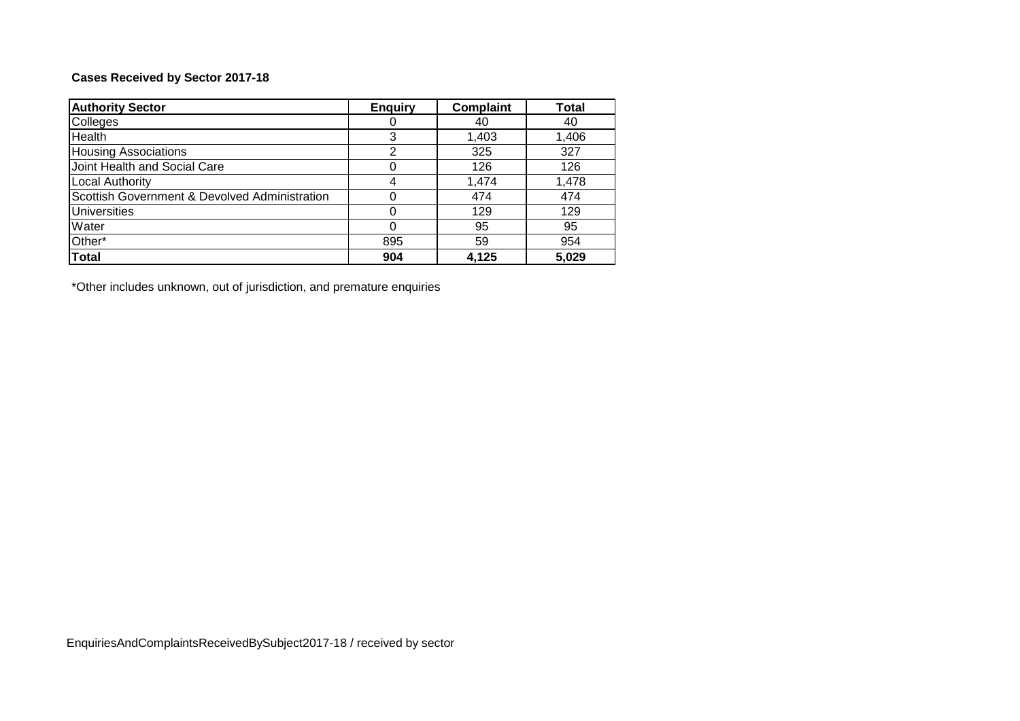# **Cases Received by Sector 2017-18**

| <b>Authority Sector</b>                       | <b>Enquiry</b> | <b>Complaint</b> | <b>Total</b> |
|-----------------------------------------------|----------------|------------------|--------------|
| Colleges                                      |                | 40               | 40           |
| Health                                        | 3              | 1,403            | 1,406        |
| <b>Housing Associations</b>                   | っ              | 325              | 327          |
| Joint Health and Social Care                  |                | 126              | 126          |
| <b>Local Authority</b>                        | 4              | 1,474            | 1,478        |
| Scottish Government & Devolved Administration |                | 474              | 474          |
| <b>Universities</b>                           |                | 129              | 129          |
| Water                                         | 0              | 95               | 95           |
| Other*                                        | 895            | 59               | 954          |
| <b>Total</b>                                  | 904            | 4,125            | 5,029        |

\*Other includes unknown, out of jurisdiction, and premature enquiries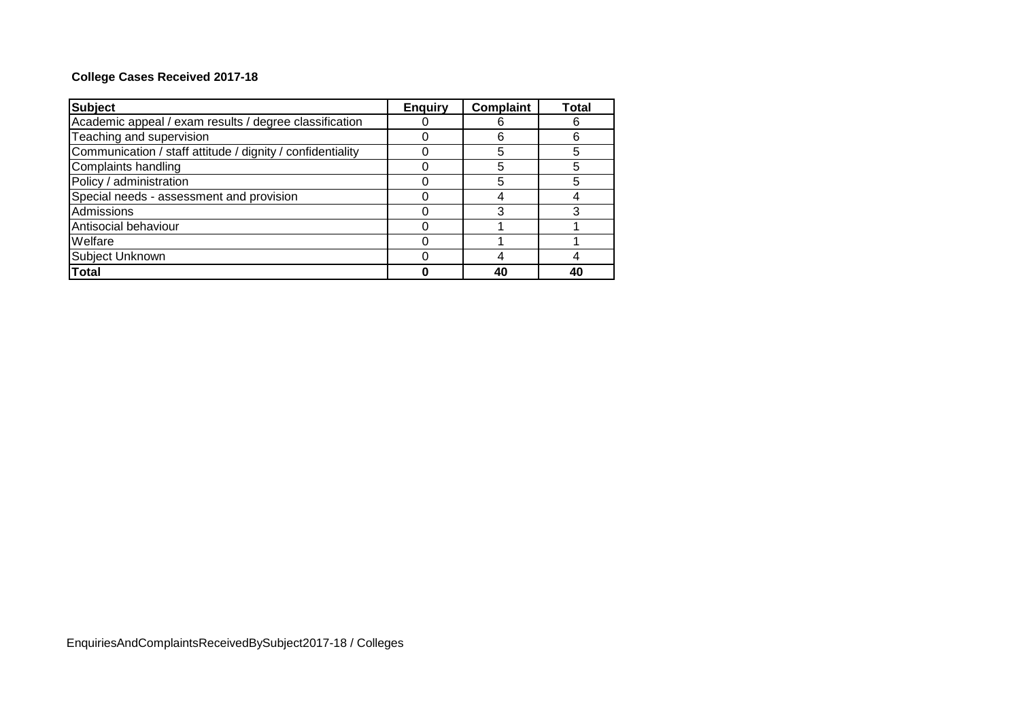# **College Cases Received 2017-18**

| <b>Subject</b>                                             | <b>Enquiry</b> | <b>Complaint</b> | Total |
|------------------------------------------------------------|----------------|------------------|-------|
| Academic appeal / exam results / degree classification     |                |                  |       |
| Teaching and supervision                                   |                |                  |       |
| Communication / staff attitude / dignity / confidentiality |                | 5                |       |
| Complaints handling                                        |                |                  |       |
| Policy / administration                                    |                | 5                |       |
| Special needs - assessment and provision                   |                |                  |       |
| Admissions                                                 |                |                  |       |
| Antisocial behaviour                                       |                |                  |       |
| Welfare                                                    |                |                  |       |
| Subject Unknown                                            |                |                  |       |
| <b>Total</b>                                               |                | 40               | 40    |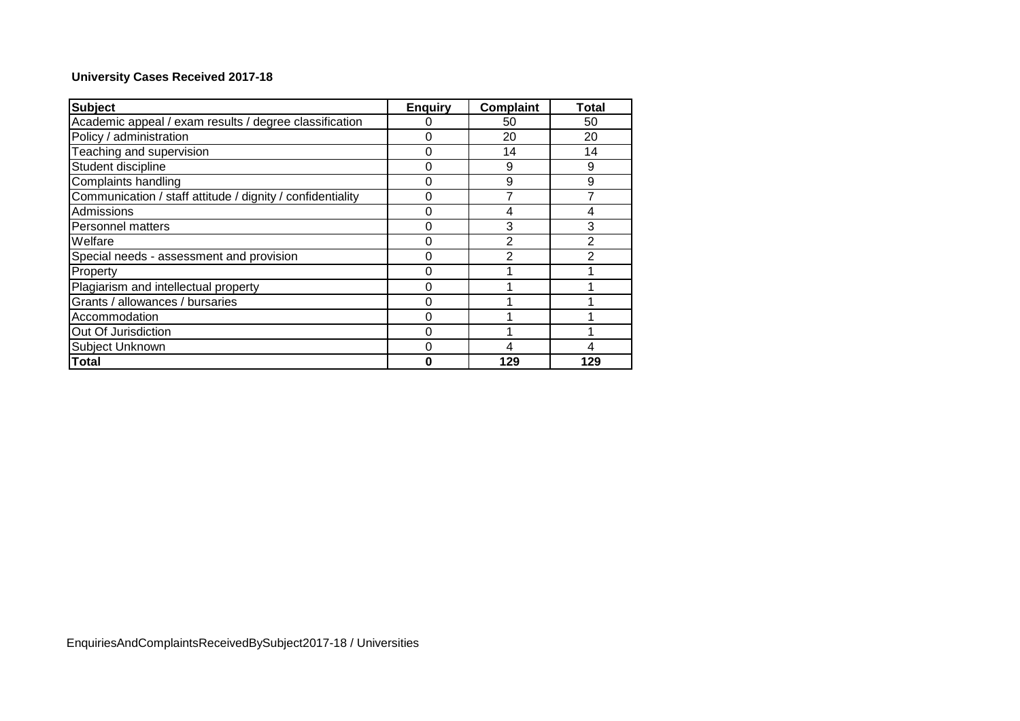# **University Cases Received 2017-18**

| <b>Subject</b>                                             | <b>Enquiry</b> | <b>Complaint</b> | Total |
|------------------------------------------------------------|----------------|------------------|-------|
| Academic appeal / exam results / degree classification     |                | 50               | 50    |
| Policy / administration                                    | 0              | 20               | 20    |
| Teaching and supervision                                   | 0              | 14               | 14    |
| Student discipline                                         | $\Omega$       | 9                | 9     |
| Complaints handling                                        |                | 9                | 9     |
| Communication / staff attitude / dignity / confidentiality | 0              | 7                |       |
| Admissions                                                 | 0              | 4                | 4     |
| <b>Personnel matters</b>                                   | 0              | 3                | 3     |
| Welfare                                                    | 0              | 2                |       |
| Special needs - assessment and provision                   | 0              | 2                |       |
| Property                                                   | 0              |                  |       |
| Plagiarism and intellectual property                       | 0              |                  |       |
| Grants / allowances / bursaries                            | 0              |                  |       |
| Accommodation                                              | O              |                  |       |
| Out Of Jurisdiction                                        | 0              |                  |       |
| Subject Unknown                                            | O              | 4                |       |
| Total                                                      |                | 129              | 129   |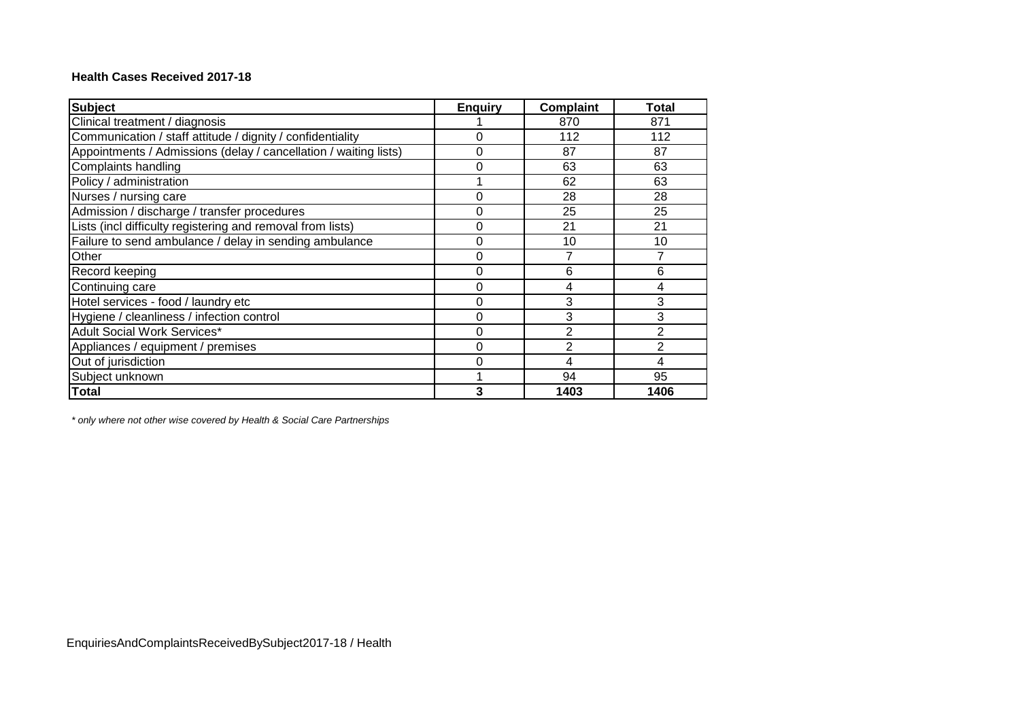#### **Health Cases Received 2017-18**

| <b>Subject</b>                                                   | <b>Enguiry</b> | <b>Complaint</b> | <b>Total</b>   |
|------------------------------------------------------------------|----------------|------------------|----------------|
| Clinical treatment / diagnosis                                   |                | 870              | 871            |
| Communication / staff attitude / dignity / confidentiality       | 0              | 112              | 112            |
| Appointments / Admissions (delay / cancellation / waiting lists) | 0              | 87               | 87             |
| Complaints handling                                              | 0              | 63               | 63             |
| Policy / administration                                          |                | 62               | 63             |
| Nurses / nursing care                                            | 0              | 28               | 28             |
| Admission / discharge / transfer procedures                      | 0              | 25               | 25             |
| Lists (incl difficulty registering and removal from lists)       | 0              | 21               | 21             |
| Failure to send ambulance / delay in sending ambulance           | 0              | 10               | 10             |
| Other                                                            | 0              | 7                | 7              |
| Record keeping                                                   | 0              | 6                | 6              |
| Continuing care                                                  | 0              | 4                | 4              |
| Hotel services - food / laundry etc                              | 0              | 3                | 3              |
| Hygiene / cleanliness / infection control                        | 0              | 3                | 3              |
| Adult Social Work Services*                                      | 0              | $\overline{2}$   | $\overline{2}$ |
| Appliances / equipment / premises                                | 0              | 2                | $\overline{2}$ |
| Out of jurisdiction                                              | 0              | 4                | 4              |
| Subject unknown                                                  |                | 94               | 95             |
| <b>Total</b>                                                     | 3              | 1403             | 1406           |

*\* only where not other wise covered by Health & Social Care Partnerships*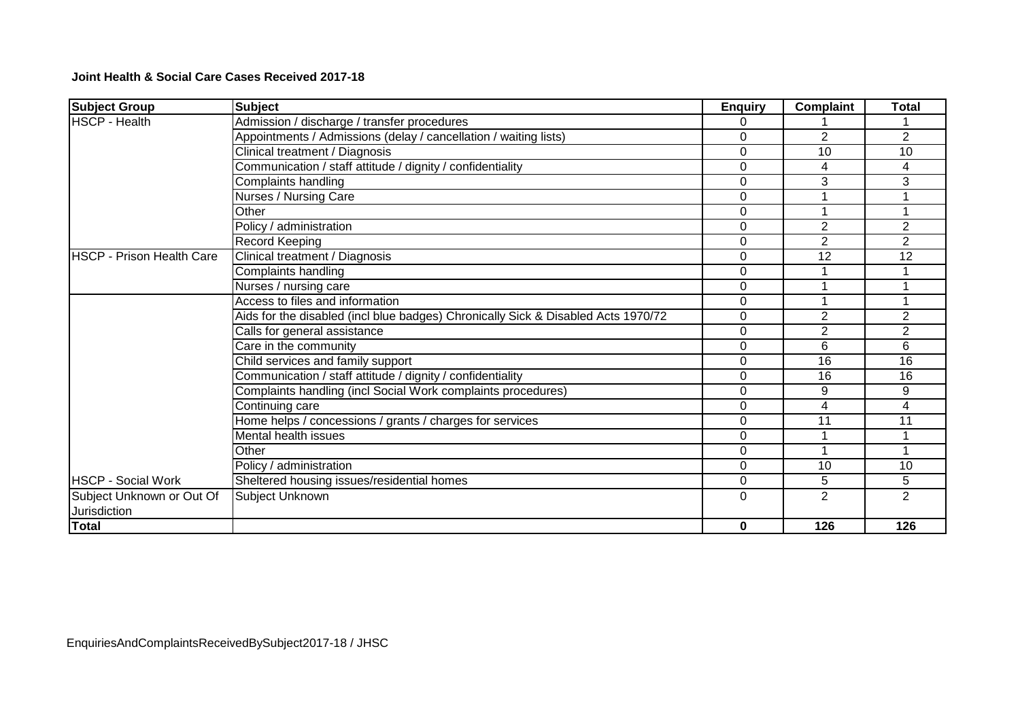**Joint Health & Social Care Cases Received 2017-18**

| <b>Subject Group</b>       | <b>Subject</b>                                                                    | <b>Enquiry</b> | <b>Complaint</b> | <b>Total</b>   |
|----------------------------|-----------------------------------------------------------------------------------|----------------|------------------|----------------|
| <b>HSCP - Health</b>       | Admission / discharge / transfer procedures                                       | 0              |                  |                |
|                            | Appointments / Admissions (delay / cancellation / waiting lists)                  | $\Omega$       | $\overline{2}$   | $\overline{2}$ |
|                            | Clinical treatment / Diagnosis                                                    | 0              | 10               | 10             |
|                            | Communication / staff attitude / dignity / confidentiality                        | $\Omega$       | 4                | 4              |
|                            | Complaints handling                                                               | 0              | 3                | 3              |
|                            | Nurses / Nursing Care                                                             | 0              |                  |                |
|                            | Other                                                                             | $\Omega$       |                  |                |
|                            | Policy / administration                                                           | $\Omega$       | 2                | $\overline{2}$ |
|                            | Record Keeping                                                                    | $\Omega$       | 2                | $\overline{2}$ |
| IHSCP - Prison Health Care | Clinical treatment / Diagnosis                                                    | $\Omega$       | 12               | 12             |
|                            | Complaints handling                                                               | 0              |                  |                |
|                            | Nurses / nursing care                                                             | $\Omega$       |                  |                |
|                            | Access to files and information                                                   | $\Omega$       |                  |                |
|                            | Aids for the disabled (incl blue badges) Chronically Sick & Disabled Acts 1970/72 | $\Omega$       | $\overline{2}$   | $\overline{2}$ |
|                            | Calls for general assistance                                                      | $\Omega$       | $\overline{2}$   | $\overline{2}$ |
|                            | Care in the community                                                             | $\Omega$       | 6                | 6              |
|                            | Child services and family support                                                 | 0              | 16               | 16             |
|                            | Communication / staff attitude / dignity / confidentiality                        | $\Omega$       | 16               | 16             |
|                            | Complaints handling (incl Social Work complaints procedures)                      | 0              | 9                | 9              |
|                            | Continuing care                                                                   | $\Omega$       | 4                | 4              |
|                            | Home helps / concessions / grants / charges for services                          | $\Omega$       | 11               | 11             |
|                            | Mental health issues                                                              | $\Omega$       |                  |                |
|                            | Other                                                                             | $\Omega$       | 1                |                |
|                            | Policy / administration                                                           | $\Omega$       | 10               | 10             |
| <b>HSCP - Social Work</b>  | Sheltered housing issues/residential homes                                        | $\Omega$       | 5                | 5              |
| Subject Unknown or Out Of  | Subject Unknown                                                                   | 0              | $\mathbf{2}$     | 2              |
| <b>Jurisdiction</b>        |                                                                                   |                |                  |                |
| Total                      |                                                                                   | 0              | 126              | 126            |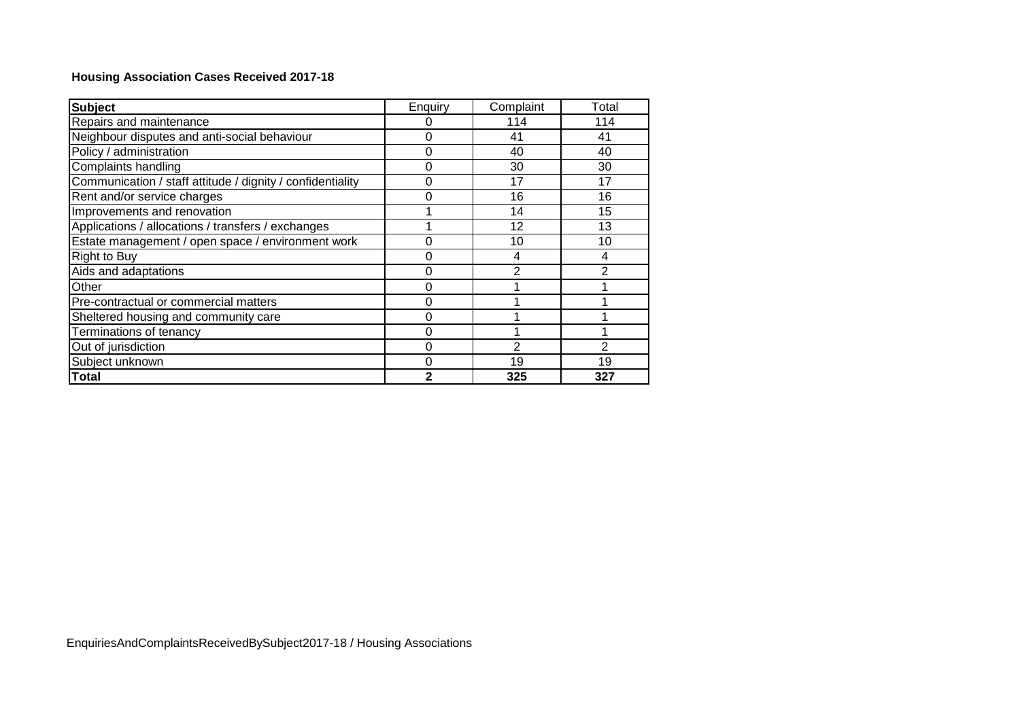# **Housing Association Cases Received 2017-18**

| <b>Subject</b>                                             | Enquiry     | Complaint      | Total |
|------------------------------------------------------------|-------------|----------------|-------|
| Repairs and maintenance                                    | 0           | 114            | 114   |
| Neighbour disputes and anti-social behaviour               | $\Omega$    | 41             | 41    |
| Policy / administration                                    | $\Omega$    | 40             | 40    |
| Complaints handling                                        | $\mathbf 0$ | 30             | 30    |
| Communication / staff attitude / dignity / confidentiality | 0           | 17             | 17    |
| Rent and/or service charges                                | $\Omega$    | 16             | 16    |
| Improvements and renovation                                |             | 14             | 15    |
| Applications / allocations / transfers / exchanges         |             | 12             | 13    |
| Estate management / open space / environment work          | 0           | 10             | 10    |
| <b>Right to Buy</b>                                        | 0           | 4              | 4     |
| Aids and adaptations                                       | 0           | $\overline{2}$ | 2     |
| Other                                                      | 0           |                |       |
| Pre-contractual or commercial matters                      | 0           |                |       |
| Sheltered housing and community care                       | $\Omega$    |                |       |
| Terminations of tenancy                                    | 0           |                |       |
| Out of jurisdiction                                        | $\Omega$    | 2              | 2     |
| Subject unknown                                            | 0           | 19             | 19    |
| <b>Total</b>                                               | 2           | 325            | 327   |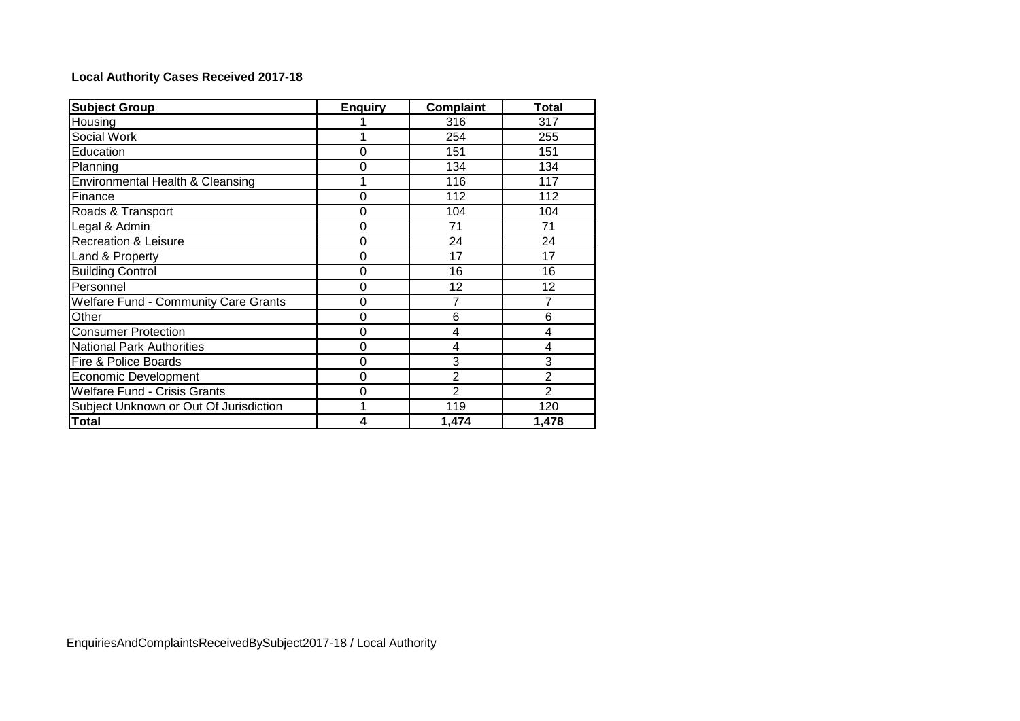# **Local Authority Cases Received 2017-18**

| <b>Subject Group</b>                        | <b>Enguiry</b> | <b>Complaint</b> | Total          |
|---------------------------------------------|----------------|------------------|----------------|
| Housing                                     |                | 316              | 317            |
| Social Work                                 |                | 254              | 255            |
| Education                                   | 0              | 151              | 151            |
| Planning                                    | 0              | 134              | 134            |
| Environmental Health & Cleansing            | 1              | 116              | 117            |
| Finance                                     | 0              | 112              | 112            |
| Roads & Transport                           | 0              | 104              | 104            |
| Legal & Admin                               | 0              | 71               | 71             |
| <b>Recreation &amp; Leisure</b>             | 0              | 24               | 24             |
| Land & Property                             | 0              | 17               | 17             |
| <b>Building Control</b>                     | 0              | 16               | 16             |
| Personnel                                   | 0              | 12               | 12             |
| <b>Welfare Fund - Community Care Grants</b> | 0              | 7                | 7              |
| Other                                       | 0              | 6                | 6              |
| <b>Consumer Protection</b>                  | 0              | 4                | 4              |
| <b>National Park Authorities</b>            | 0              | 4                | 4              |
| Fire & Police Boards                        | 0              | 3                | 3              |
| <b>Economic Development</b>                 | 0              | $\overline{2}$   | $\overline{2}$ |
| <b>Welfare Fund - Crisis Grants</b>         | 0              | $\overline{2}$   | $\overline{2}$ |
| Subject Unknown or Out Of Jurisdiction      | 1              | 119              | 120            |
| <b>Total</b>                                | 4              | 1,474            | 1,478          |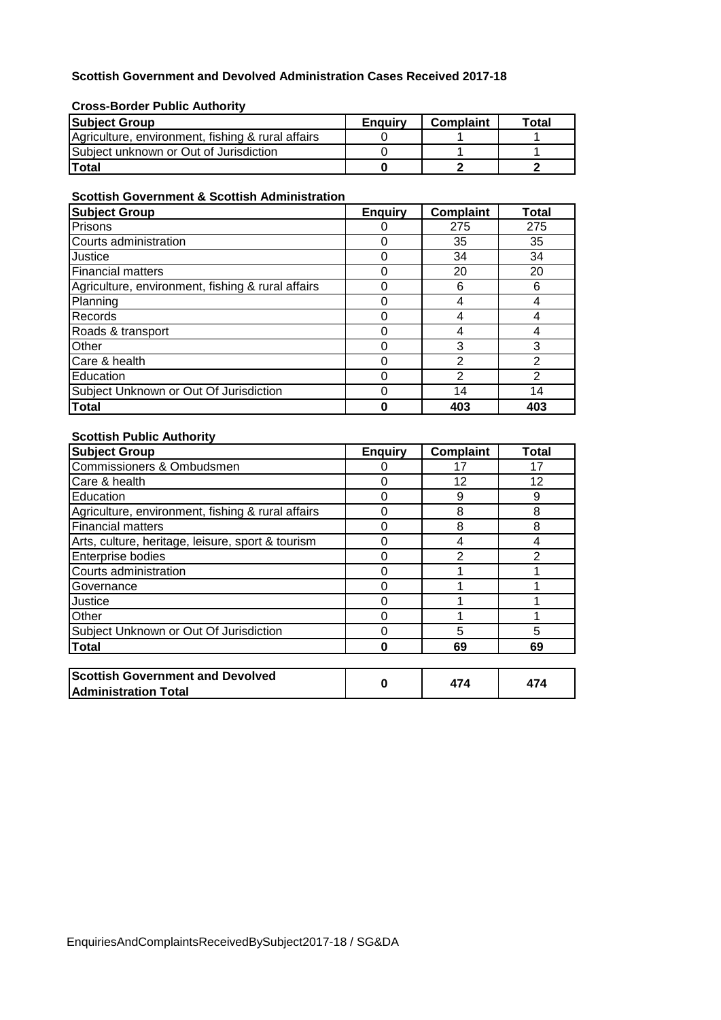### **Scottish Government and Devolved Administration Cases Received 2017-18**

#### **Cross-Border Public Authority**

| <b>Subject Group</b>                              | <b>Enguiry</b> | <b>Complaint</b> | Total |
|---------------------------------------------------|----------------|------------------|-------|
| Agriculture, environment, fishing & rural affairs |                |                  |       |
| <b>ISubiect unknown or Out of Jurisdiction</b>    |                |                  |       |
| lTotal                                            |                |                  |       |

### **Scottish Government & Scottish Administration**

| <b>Subject Group</b>                              | <b>Enquiry</b> | <b>Complaint</b> | <b>Total</b> |
|---------------------------------------------------|----------------|------------------|--------------|
| Prisons                                           |                | 275              | 275          |
| Courts administration                             | 0              | 35               | 35           |
| Justice                                           | $\Omega$       | 34               | 34           |
| <b>Financial matters</b>                          | 0              | 20               | 20           |
| Agriculture, environment, fishing & rural affairs | 0              | 6                | 6            |
| Planning                                          | 0              | 4                |              |
| Records                                           | ი              | 4                |              |
| Roads & transport                                 | 0              | 4                |              |
| Other                                             | 0              | 3                | 3            |
| Care & health                                     | ი              | 2                |              |
| Education                                         | 0              | 2                | 2            |
| Subject Unknown or Out Of Jurisdiction            | 0              | 14               | 14           |
| Total                                             |                | 403              | 403          |

### **Scottish Public Authority**

| <b>Subject Group</b>                              | <b>Enquiry</b> | <b>Complaint</b> | Total         |
|---------------------------------------------------|----------------|------------------|---------------|
| Commissioners & Ombudsmen                         |                | 17               | 17            |
| Care & health                                     | 0              | 12               | 12            |
| Education                                         | 0              | 9                | 9             |
| Agriculture, environment, fishing & rural affairs | 0              | 8                | 8             |
| <b>Financial matters</b>                          | 0              | 8                | 8             |
| Arts, culture, heritage, leisure, sport & tourism | 0              | 4                | 4             |
| Enterprise bodies                                 | 0              | 2                | $\mathcal{P}$ |
| Courts administration                             | 0              |                  |               |
| Governance                                        | 0              |                  |               |
| Justice                                           | 0              |                  |               |
| Other                                             | 0              |                  |               |
| Subject Unknown or Out Of Jurisdiction            | 0              | 5                | 5             |
| <b>Total</b>                                      | O              | 69               | 69            |
|                                                   |                |                  |               |
| <b>Scottish Government and Devolved</b>           | 0              | 474              | 474           |
| <b>Administration Total</b>                       |                |                  |               |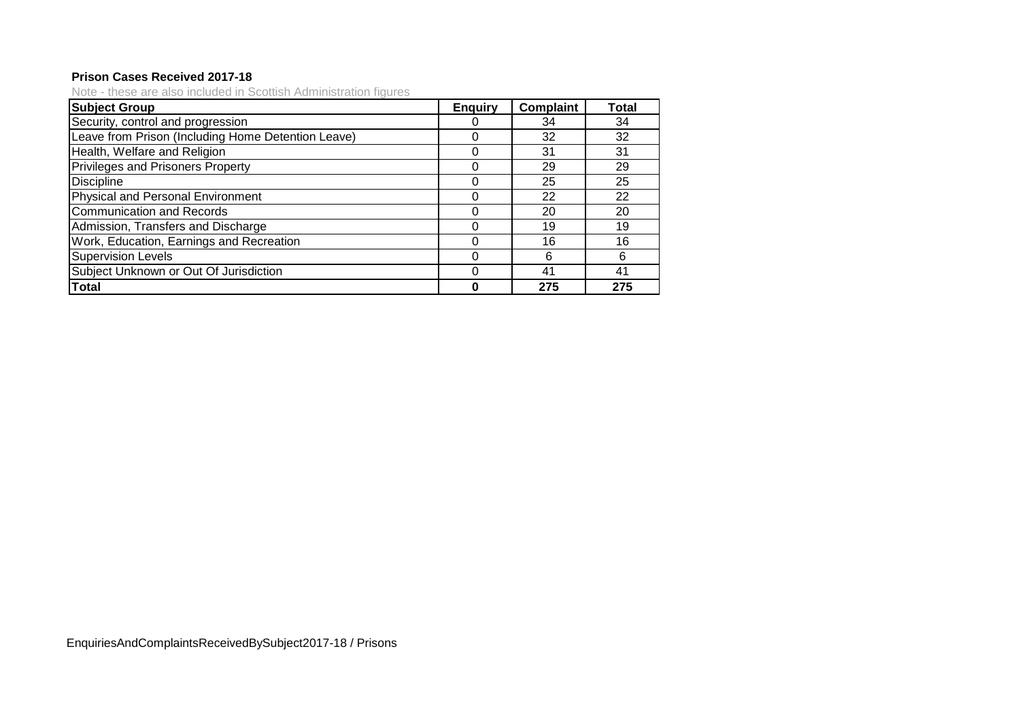### **Prison Cases Received 2017-18**

Note - these are also included in Scottish Administration figures

| <b>Subject Group</b>                               | <b>Enguiry</b> | Complaint | Total |
|----------------------------------------------------|----------------|-----------|-------|
| Security, control and progression                  |                | 34        | 34    |
| Leave from Prison (Including Home Detention Leave) |                | 32        | 32    |
| Health, Welfare and Religion                       | O              | 31        | 31    |
| <b>Privileges and Prisoners Property</b>           | 0              | 29        | 29    |
| <b>Discipline</b>                                  |                | 25        | 25    |
| Physical and Personal Environment                  |                | 22        | 22    |
| <b>Communication and Records</b>                   |                | 20        | 20    |
| Admission, Transfers and Discharge                 |                | 19        | 19    |
| Work, Education, Earnings and Recreation           | O              | 16        | 16    |
| <b>Supervision Levels</b>                          | 0              | 6         | 6     |
| Subject Unknown or Out Of Jurisdiction             |                | 41        | 41    |
| <b>Total</b>                                       |                | 275       | 275   |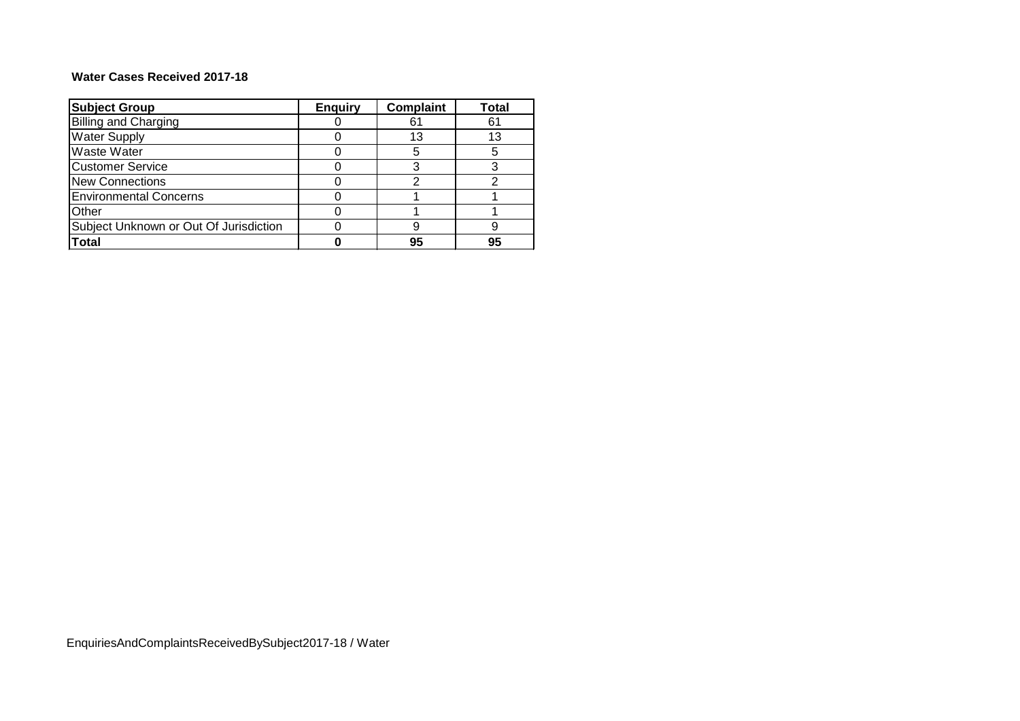### **Water Cases Received 2017-18**

| <b>Subject Group</b>                   | <b>Enquiry</b> | <b>Complaint</b> | Total |
|----------------------------------------|----------------|------------------|-------|
| <b>Billing and Charging</b>            |                | 61               | 61    |
| <b>Water Supply</b>                    |                | 13               | 13    |
| <b>Waste Water</b>                     |                | 5                | 5     |
| <b>Customer Service</b>                |                |                  |       |
| <b>New Connections</b>                 |                |                  |       |
| <b>Environmental Concerns</b>          |                |                  |       |
| Other                                  |                |                  |       |
| Subject Unknown or Out Of Jurisdiction |                |                  | g     |
| <b>Total</b>                           |                | 95               | 95    |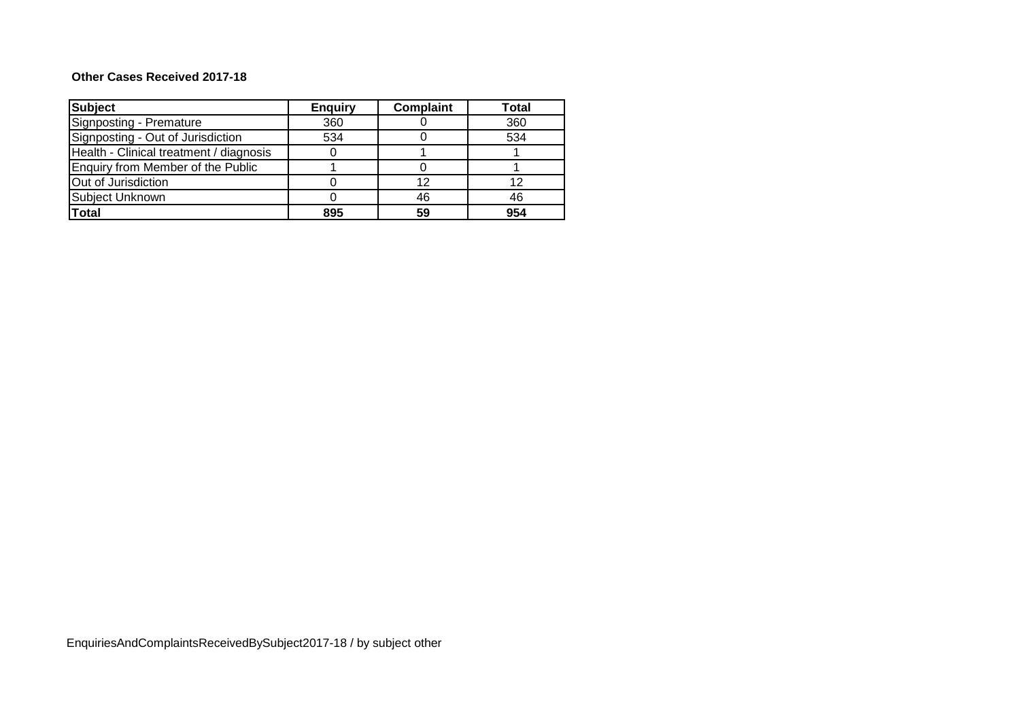### **Other Cases Received 2017-18**

| <b>Subject</b>                          | <b>Enquiry</b> | <b>Complaint</b> | <b>Total</b> |
|-----------------------------------------|----------------|------------------|--------------|
| Signposting - Premature                 | 360            |                  | 360          |
| Signposting - Out of Jurisdiction       | 534            |                  | 534          |
| Health - Clinical treatment / diagnosis |                |                  |              |
| Enquiry from Member of the Public       |                |                  |              |
| Out of Jurisdiction                     |                | 12               |              |
| Subject Unknown                         |                | 46               | 46           |
| <b>Total</b>                            | 895            | 59               | 954          |